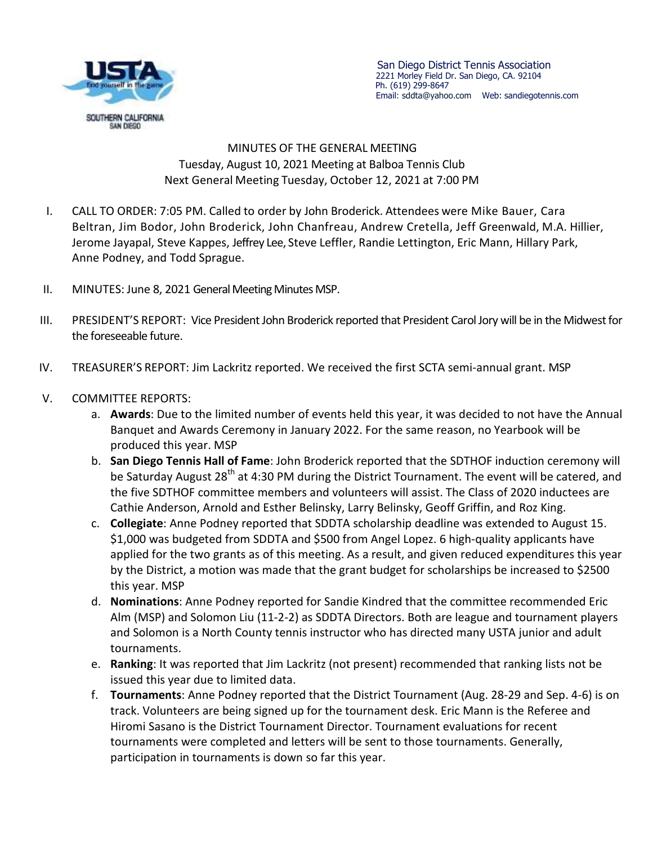

 San Diego District Tennis Association 2221 Morley Field Dr. San Diego, CA. 92104 Ph. (619) 299-8647 Email: sddta@yahoo.com Web: sandiegotennis.com

## MINUTES OF THE GENERAL MEETING Tuesday, August 10, 2021 Meeting at Balboa Tennis Club Next General Meeting Tuesday, October 12, 2021 at 7:00 PM

- I. CALL TO ORDER: 7:05 PM. Called to order by John Broderick. Attendees were Mike Bauer, Cara Beltran, Jim Bodor, John Broderick, John Chanfreau, Andrew Cretella, Jeff Greenwald, M.A. Hillier, Jerome Jayapal, Steve Kappes, Jeffrey Lee, Steve Leffler, Randie Lettington, Eric Mann, Hillary Park, Anne Podney, and Todd Sprague.
- II. MINUTES: June 8, 2021 General Meeting Minutes MSP.
- III. PRESIDENT'S REPORT: Vice President John Broderick reported that President Carol Jory will be in the Midwest for the foreseeable future.
- IV. TREASURER'S REPORT: Jim Lackritz reported. We received the first SCTA semi-annual grant. MSP

## V. COMMITTEE REPORTS:

- a. **Awards**: Due to the limited number of events held this year, it was decided to not have the Annual Banquet and Awards Ceremony in January 2022. For the same reason, no Yearbook will be produced this year. MSP
- b. **San Diego Tennis Hall of Fame**: John Broderick reported that the SDTHOF induction ceremony will be Saturday August 28<sup>th</sup> at 4:30 PM during the District Tournament. The event will be catered, and the five SDTHOF committee members and volunteers will assist. The Class of 2020 inductees are Cathie Anderson, Arnold and Esther Belinsky, Larry Belinsky, Geoff Griffin, and Roz King.
- c. **Collegiate**: Anne Podney reported that SDDTA scholarship deadline was extended to August 15. \$1,000 was budgeted from SDDTA and \$500 from Angel Lopez. 6 high-quality applicants have applied for the two grants as of this meeting. As a result, and given reduced expenditures this year by the District, a motion was made that the grant budget for scholarships be increased to \$2500 this year. MSP
- d. **Nominations**: Anne Podney reported for Sandie Kindred that the committee recommended Eric Alm (MSP) and Solomon Liu (11-2-2) as SDDTA Directors. Both are league and tournament players and Solomon is a North County tennis instructor who has directed many USTA junior and adult tournaments.
- e. **Ranking**: It was reported that Jim Lackritz (not present) recommended that ranking lists not be issued this year due to limited data.
- f. **Tournaments**: Anne Podney reported that the District Tournament (Aug. 28-29 and Sep. 4-6) is on track. Volunteers are being signed up for the tournament desk. Eric Mann is the Referee and Hiromi Sasano is the District Tournament Director. Tournament evaluations for recent tournaments were completed and letters will be sent to those tournaments. Generally, participation in tournaments is down so far this year.